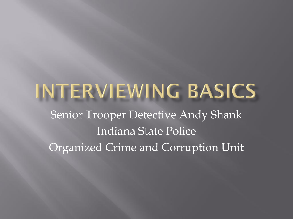## INTERVIEWING BASICS Senior Trooper Detective Andy Shank Indiana State Police Organized Crime and Corruption Unit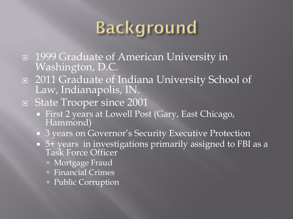## **Background**

- 1999 Graduate of American University in Washington, D.C.
- □ 2011 Graduate of Indiana University School of Law, Indianapolis, IN.
- □ State Trooper since 2001
	- First 2 years at Lowell Post (Gary, East Chicago, Hammond)
	- 3 years on Governor's Security Executive Protection
	- 5+ years in investigations primarily assigned to FBI as a Task Force Officer
		- Mortgage Fraud
		- **Exercial Crimes**
		- Public Corruption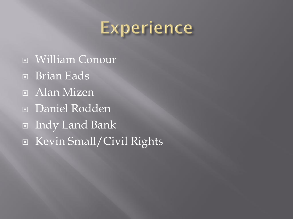

**E** William Conour Brian Eads **E** Alan Mizen Daniel Rodden Indy Land Bank ■ Kevin Small/Civil Rights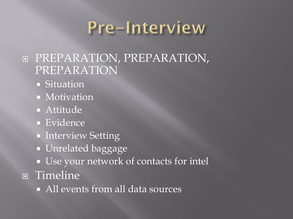### Pre-Interview

#### **E PREPARATION, PREPARATION,** PREPARATION

- Situation
- Motivation
- Attitude
- **Evidence**
- **Interview Setting**
- **Unrelated baggage**
- Use your network of contacts for intel **n** Timeline
	- $\blacksquare$  All events from all data sources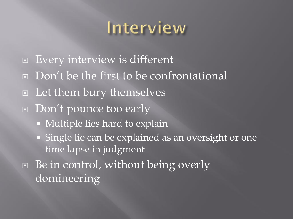### Interview

- Every interview is different
- Don't be the first to be confrontational
- □ Let them bury themselves
- □ Don't pounce too early
	- Multiple lies hard to explain
	- Single lie can be explained as an oversight or one time lapse in judgment
- □ Be in control, without being overly domineering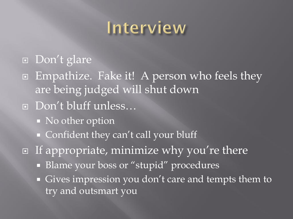### Interview

#### Don't glare

- Empathize. Fake it! A person who feels they are being judged will shut down
- Don't bluff unless…
	- No other option
	- Confident they can't call your bluff
- $\Box$  If appropriate, minimize why you're there
	- Blame your boss or "stupid" procedures
	- Gives impression you don't care and tempts them to try and outsmart you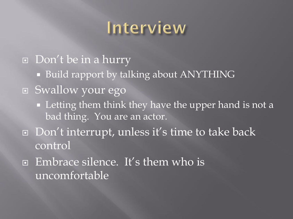## Interview

Don't be in a hurry ■ Build rapport by talking about ANYTHING Swallow your ego **EXTER 1** Letting them think they have the upper hand is not a bad thing. You are an actor. Don't interrupt, unless it's time to take back control □ Embrace silence. It's them who is uncomfortable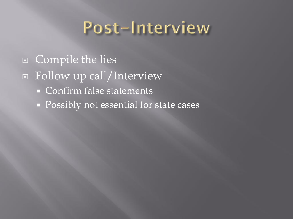### Post-Interview

 Compile the lies Follow up call/Interview Confirm false statements **Possibly not essential for state cases**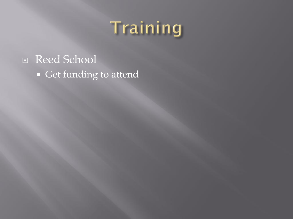# Training

### □ Reed School Get funding to attend